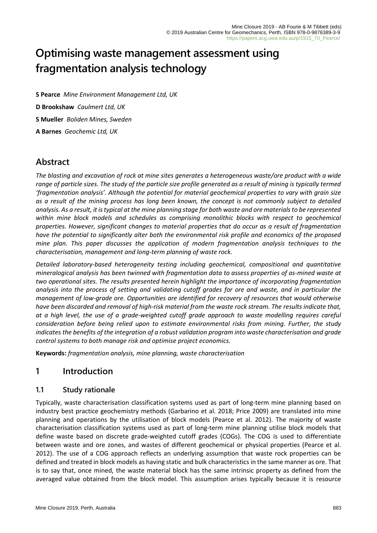# **Optimising waste management assessment using fragmentation analysis technology**

**S Pearce** *Mine Environment Management Ltd, UK* **D Brookshaw** *Caulmert Ltd, UK* **S Mueller** *Boliden Mines, Sweden* **A Barnes** *Geochemic Ltd, UK*

# **Abstract**

*The blasting and excavation of rock at mine sites generates a heterogeneous waste/ore product with a wide range of particle sizes. The study of the particle size profile generated as a result of mining is typically termed 'fragmentation analysis'. Although the potential for material geochemical properties to vary with grain size as a result of the mining process has long been known, the concept is not commonly subject to detailed analysis. As a result, it is typical at the mine planning stage for both waste and ore materials to be represented within mine block models and schedules as comprising monolithic blocks with respect to geochemical properties. However, significant changes to material properties that do occur as a result of fragmentation have the potential to significantly alter both the environmental risk profile and economics of the proposed mine plan. This paper discusses the application of modern fragmentation analysis techniques to the characterisation, management and long-term planning of waste rock.*

*Detailed laboratory-based heterogeneity testing including geochemical, compositional and quantitative mineralogical analysis has been twinned with fragmentation data to assess properties of as-mined waste at two operational sites. The results presented herein highlight the importance of incorporating fragmentation analysis into the process of setting and validating cutoff grades for ore and waste, and in particular the management of low-grade ore. Opportunities are identified for recovery of resources that would otherwise have been discarded and removal of high-risk material from the waste rock stream. The results indicate that, at a high level, the use of a grade-weighted cutoff grade approach to waste modelling requires careful consideration before being relied upon to estimate environmental risks from mining. Further, the study indicates the benefits of the integration of a robust validation program into waste characterisation and grade control systems to both manage risk and optimise project economics.*

**Keywords:** *fragmentation analysis, mine planning, waste characterisation*

# **1 Introduction**

### **1.1 Study rationale**

Typically, waste characterisation classification systems used as part of long-term mine planning based on industry best practice geochemistry methods (Garbarino et al. 2018; Price 2009) are translated into mine planning and operations by the utilisation of block models (Pearce et al. 2012). The majority of waste characterisation classification systems used as part of long-term mine planning utilise block models that define waste based on discrete grade-weighted cutoff grades (COGs). The COG is used to differentiate between waste and ore zones, and wastes of different geochemical or physical properties (Pearce et al. 2012). The use of a COG approach reflects an underlying assumption that waste rock properties can be defined and treated in block models as having static and bulk characteristics in the same manner as ore. That is to say that, once mined, the waste material block has the same intrinsic property as defined from the averaged value obtained from the block model. This assumption arises typically because it is resource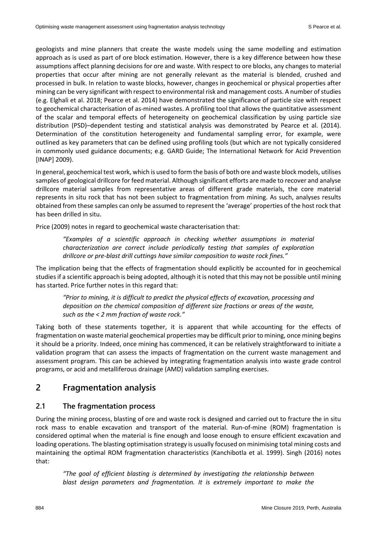geologists and mine planners that create the waste models using the same modelling and estimation approach as is used as part of ore block estimation. However, there is a key difference between how these assumptions affect planning decisions for ore and waste. With respect to ore blocks, any changes to material properties that occur after mining are not generally relevant as the material is blended, crushed and processed in bulk. In relation to waste blocks, however, changes in geochemical or physical properties after mining can be very significant with respect to environmental risk and management costs. A number of studies (e.g. Elghali et al. 2018; Pearce et al. 2014) have demonstrated the significance of particle size with respect to geochemical characterisation of as-mined wastes. A profiling tool that allows the quantitative assessment of the scalar and temporal effects of heterogeneity on geochemical classification by using particle size distribution (PSD)–dependent testing and statistical analysis was demonstrated by Pearce et al. (2014). Determination of the constitution heterogeneity and fundamental sampling error, for example, were outlined as key parameters that can be defined using profiling tools (but which are not typically considered in commonly used guidance documents; e.g. GARD Guide; The International Network for Acid Prevention [INAP] 2009).

In general, geochemical test work, which is used to form the basis of both ore and waste block models, utilises samples of geological drillcore for feed material. Although significant efforts are made to recover and analyse drillcore material samples from representative areas of different grade materials, the core material represents in situ rock that has not been subject to fragmentation from mining. As such, analyses results obtained from these samples can only be assumed to represent the 'average' properties of the host rock that has been drilled in situ.

Price (2009) notes in regard to geochemical waste characterisation that:

*"Examples of a scientific approach in checking whether assumptions in material characterization are correct include periodically testing that samples of exploration drillcore or pre-blast drill cuttings have similar composition to waste rock fines."*

The implication being that the effects of fragmentation should explicitly be accounted for in geochemical studies if a scientific approach is being adopted, although it is noted that this may not be possible until mining has started. Price further notes in this regard that:

*"Prior to mining, it is difficult to predict the physical effects of excavation, processing and deposition on the chemical composition of different size fractions or areas of the waste, such as the < 2 mm fraction of waste rock."*

Taking both of these statements together, it is apparent that while accounting for the effects of fragmentation on waste material geochemical properties may be difficult prior to mining, once mining begins it should be a priority. Indeed, once mining has commenced, it can be relatively straightforward to initiate a validation program that can assess the impacts of fragmentation on the current waste management and assessment program. This can be achieved by integrating fragmentation analysis into waste grade control programs, or acid and metalliferous drainage (AMD) validation sampling exercises.

# **2 Fragmentation analysis**

### **2.1 The fragmentation process**

During the mining process, blasting of ore and waste rock is designed and carried out to fracture the in situ rock mass to enable excavation and transport of the material. Run-of-mine (ROM) fragmentation is considered optimal when the material is fine enough and loose enough to ensure efficient excavation and loading operations. The blasting optimisation strategy is usually focused on minimising total mining costs and maintaining the optimal ROM fragmentation characteristics (Kanchibotla et al. 1999). Singh (2016) notes that:

*"The goal of efficient blasting is determined by investigating the relationship between blast design parameters and fragmentation. It is extremely important to make the*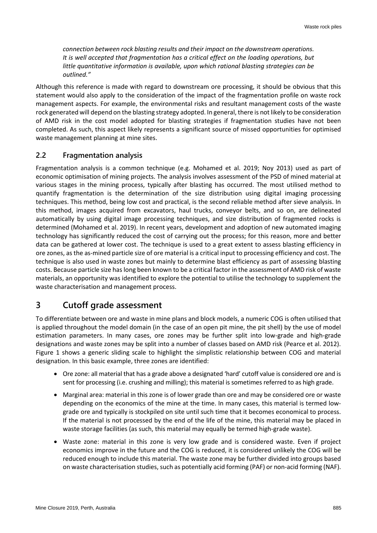*connection between rock blasting results and their impact on the downstream operations. It is well accepted that fragmentation has a critical effect on the loading operations, but little quantitative information is available, upon which rational blasting strategies can be outlined."*

Although this reference is made with regard to downstream ore processing, it should be obvious that this statement would also apply to the consideration of the impact of the fragmentation profile on waste rock management aspects. For example, the environmental risks and resultant management costs of the waste rock generated will depend on the blasting strategy adopted. In general, there is not likely to be consideration of AMD risk in the cost model adopted for blasting strategies if fragmentation studies have not been completed. As such, this aspect likely represents a significant source of missed opportunities for optimised waste management planning at mine sites.

### **2.2 Fragmentation analysis**

Fragmentation analysis is a common technique (e.g. Mohamed et al. 2019; Noy 2013) used as part of economic optimisation of mining projects. The analysis involves assessment of the PSD of mined material at various stages in the mining process, typically after blasting has occurred. The most utilised method to quantify fragmentation is the determination of the size distribution using digital imaging processing techniques. This method, being low cost and practical, is the second reliable method after sieve analysis. In this method, images acquired from excavators, haul trucks, conveyor belts, and so on, are delineated automatically by using digital image processing techniques, and size distribution of fragmented rocks is determined (Mohamed et al. 2019). In recent years, development and adoption of new automated imaging technology has significantly reduced the cost of carrying out the process; for this reason, more and better data can be gathered at lower cost. The technique is used to a great extent to assess blasting efficiency in ore zones, as the as-mined particle size of ore material is a critical input to processing efficiency and cost. The technique is also used in waste zones but mainly to determine blast efficiency as part of assessing blasting costs. Because particle size has long been known to be a critical factor in the assessment of AMD risk of waste materials, an opportunity was identified to explore the potential to utilise the technology to supplement the waste characterisation and management process.

# **3 Cutoff grade assessment**

To differentiate between ore and waste in mine plans and block models, a numeric COG is often utilised that is applied throughout the model domain (in the case of an open pit mine, the pit shell) by the use of model estimation parameters. In many cases, ore zones may be further split into low-grade and high-grade designations and waste zones may be split into a number of classes based on AMD risk (Pearce et al. 2012). Figure 1 shows a generic sliding scale to highlight the simplistic relationship between COG and material designation. In this basic example, three zones are identified:

- Ore zone: all material that has a grade above a designated 'hard' cutoff value is considered ore and is sent for processing (i.e. crushing and milling); this material is sometimes referred to as high grade.
- Marginal area: material in this zone is of lower grade than ore and may be considered ore or waste depending on the economics of the mine at the time. In many cases, this material is termed lowgrade ore and typically is stockpiled on site until such time that it becomes economical to process. If the material is not processed by the end of the life of the mine, this material may be placed in waste storage facilities (as such, this material may equally be termed high-grade waste).
- Waste zone: material in this zone is very low grade and is considered waste. Even if project economics improve in the future and the COG is reduced, it is considered unlikely the COG will be reduced enough to include this material. The waste zone may be further divided into groups based on waste characterisation studies, such as potentially acid forming (PAF) or non-acid forming (NAF).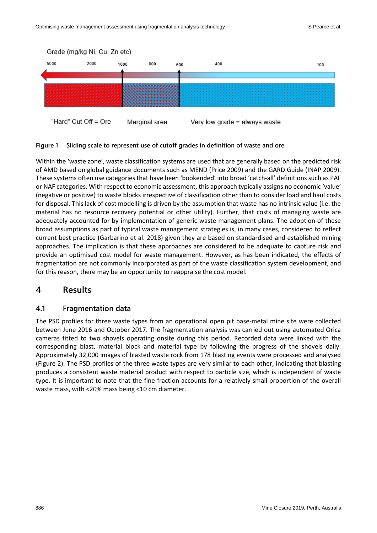

#### **Figure 1 Sliding scale to represent use of cutoff grades in definition of waste and ore**

Within the 'waste zone', waste classification systems are used that are generally based on the predicted risk of AMD based on global guidance documents such as MEND (Price 2009) and the GARD Guide (INAP 2009). These systems often use categories that have been 'bookended' into broad 'catch-all' definitions such as PAF or NAF categories. With respect to economic assessment, this approach typically assigns no economic 'value' (negative or positive) to waste blocks irrespective of classification other than to consider load and haul costs for disposal. This lack of cost modelling is driven by the assumption that waste has no intrinsic value (i.e. the material has no resource recovery potential or other utility). Further, that costs of managing waste are adequately accounted for by implementation of generic waste management plans. The adoption of these broad assumptions as part of typical waste management strategies is, in many cases, considered to reflect current best practice (Garbarino et al. 2018) given they are based on standardised and established mining approaches. The implication is that these approaches are considered to be adequate to capture risk and provide an optimised cost model for waste management. However, as has been indicated, the effects of fragmentation are not commonly incorporated as part of the waste classification system development, and for this reason, there may be an opportunity to reappraise the cost model.

### **4 Results**

#### **4.1 Fragmentation data**

The PSD profiles for three waste types from an operational open pit base-metal mine site were collected between June 2016 and October 2017. The fragmentation analysis was carried out using automated Orica cameras fitted to two shovels operating onsite during this period. Recorded data were linked with the corresponding blast, material block and material type by following the progress of the shovels daily. Approximately 32,000 images of blasted waste rock from 178 blasting events were processed and analysed (Figure 2). The PSD profiles of the three waste types are very similar to each other, indicating that blasting produces a consistent waste material product with respect to particle size, which is independent of waste type. It is important to note that the fine fraction accounts for a relatively small proportion of the overall waste mass, with <20% mass being <10 cm diameter.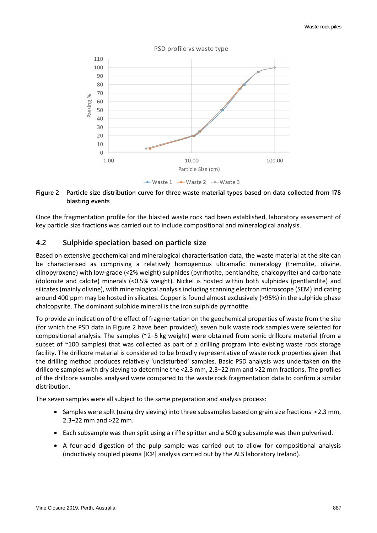

#### **Figure 2 Particle size distribution curve for three waste material types based on data collected from 178 blasting events**

Once the fragmentation profile for the blasted waste rock had been established, laboratory assessment of key particle size fractions was carried out to include compositional and mineralogical analysis.

### **4.2 Sulphide speciation based on particle size**

Based on extensive geochemical and mineralogical characterisation data, the waste material at the site can be characterised as comprising a relatively homogenous ultramafic mineralogy (tremolite, olivine, clinopyroxene) with low-grade (<2% weight) sulphides (pyrrhotite, pentlandite, chalcopyrite) and carbonate (dolomite and calcite) minerals (<0.5% weight). Nickel is hosted within both sulphides (pentlandite) and silicates (mainly olivine), with mineralogical analysis including scanning electron microscope (SEM) indicating around 400 ppm may be hosted in silicates. Copper is found almost exclusively (>95%) in the sulphide phase chalcopyrite. The dominant sulphide mineral is the iron sulphide pyrrhotite.

To provide an indication of the effect of fragmentation on the geochemical properties of waste from the site (for which the PSD data in Figure 2 have been provided), seven bulk waste rock samples were selected for compositional analysis. The samples (~2–5 kg weight) were obtained from sonic drillcore material (from a subset of ~100 samples) that was collected as part of a drilling program into existing waste rock storage facility. The drillcore material is considered to be broadly representative of waste rock properties given that the drilling method produces relatively 'undisturbed' samples. Basic PSD analysis was undertaken on the drillcore samples with dry sieving to determine the <2.3 mm, 2.3–22 mm and >22 mm fractions. The profiles of the drillcore samples analysed were compared to the waste rock fragmentation data to confirm a similar distribution.

The seven samples were all subject to the same preparation and analysis process:

- Samples were split (using dry sieving) into three subsamples based on grain size fractions: <2.3 mm, 2.3–22 mm and >22 mm.
- Each subsample was then split using a riffle splitter and a 500 g subsample was then pulverised.
- A four-acid digestion of the pulp sample was carried out to allow for compositional analysis (inductively coupled plasma [ICP] analysis carried out by the ALS laboratory Ireland).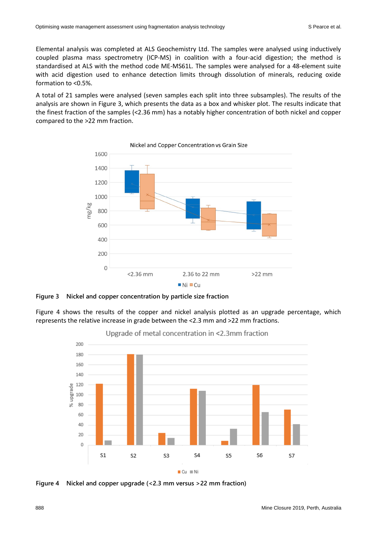Elemental analysis was completed at ALS Geochemistry Ltd. The samples were analysed using inductively coupled plasma mass spectrometry (ICP-MS) in coalition with a four-acid digestion; the method is standardised at ALS with the method code ME-MS61L. The samples were analysed for a 48-element suite with acid digestion used to enhance detection limits through dissolution of minerals, reducing oxide formation to <0.5%.

A total of 21 samples were analysed (seven samples each split into three subsamples). The results of the analysis are shown in Figure 3, which presents the data as a box and whisker plot. The results indicate that the finest fraction of the samples (<2.36 mm) has a notably higher concentration of both nickel and copper compared to the >22 mm fraction.



**Figure 3 Nickel and copper concentration by particle size fraction**

Figure 4 shows the results of the copper and nickel analysis plotted as an upgrade percentage, which represents the relative increase in grade between the <2.3 mm and >22 mm fractions.



Upgrade of metal concentration in <2.3mm fraction

**Figure 4 Nickel and copper upgrade (<2.3 mm versus >22 mm fraction)**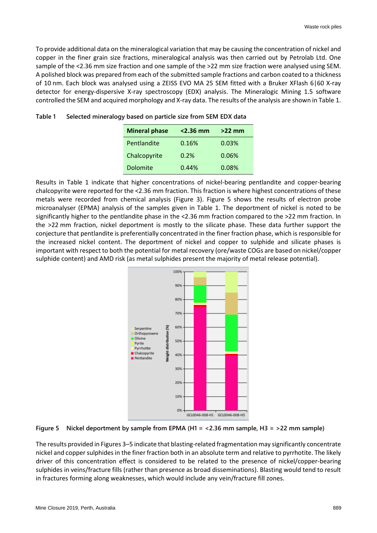To provide additional data on the mineralogical variation that may be causing the concentration of nickel and copper in the finer grain size fractions, mineralogical analysis was then carried out by Petrolab Ltd. One sample of the <2.36 mm size fraction and one sample of the >22 mm size fraction were analysed using SEM. A polished block was prepared from each of the submitted sample fractions and carbon coated to a thickness of 10 nm. Each block was analysed using a ZEISS EVO MA 25 SEM fitted with a Bruker XFlash 6|60 X-ray detector for energy-dispersive X-ray spectroscopy (EDX) analysis. The Mineralogic Mining 1.5 software controlled the SEM and acquired morphology and X-ray data. The results of the analysis are shown in Table 1.

| <b>Mineral phase</b> | $<$ 2.36 mm | $>22$ mm |
|----------------------|-------------|----------|
| Pentlandite          | 0.16%       | 0.03%    |
| Chalcopyrite         | 0.2%        | 0.06%    |
| Dolomite             | 0.44%       | 0.08%    |

|  | Table 1 Selected mineralogy based on particle size from SEM EDX data |
|--|----------------------------------------------------------------------|
|--|----------------------------------------------------------------------|

Results in Table 1 indicate that higher concentrations of nickel-bearing pentlandite and copper-bearing chalcopyrite were reported for the <2.36 mm fraction. This fraction is where highest concentrations of these metals were recorded from chemical analysis (Figure 3). Figure 5 shows the results of electron probe microanalyser (EPMA) analysis of the samples given in Table 1. The deportment of nickel is noted to be significantly higher to the pentlandite phase in the <2.36 mm fraction compared to the >22 mm fraction. In the >22 mm fraction, nickel deportment is mostly to the silicate phase. These data further support the conjecture that pentlandite is preferentially concentrated in the finer fraction phase, which is responsible for the increased nickel content. The deportment of nickel and copper to sulphide and silicate phases is important with respect to both the potential for metal recovery (ore/waste COGs are based on nickel/copper sulphide content) and AMD risk (as metal sulphides present the majority of metal release potential).



**Figure 5 Nickel deportment by sample from EPMA (H1 = <2.36 mm sample, H3 = >22 mm sample)**

The results provided in Figures 3–5 indicate that blasting-related fragmentation may significantly concentrate nickel and copper sulphidesin the finer fraction both in an absolute term and relative to pyrrhotite. The likely driver of this concentration effect is considered to be related to the presence of nickel/copper-bearing sulphides in veins/fracture fills (rather than presence as broad disseminations). Blasting would tend to result in fractures forming along weaknesses, which would include any vein/fracture fill zones.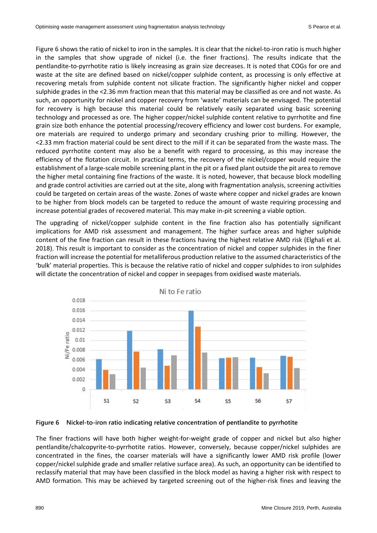Figure 6 shows the ratio of nickel to iron in the samples. It is clear that the nickel-to-iron ratio is much higher in the samples that show upgrade of nickel (i.e. the finer fractions). The results indicate that the pentlandite-to-pyrrhotite ratio is likely increasing as grain size decreases. It is noted that COGs for ore and waste at the site are defined based on nickel/copper sulphide content, as processing is only effective at recovering metals from sulphide content not silicate fraction. The significantly higher nickel and copper sulphide grades in the <2.36 mm fraction mean that this material may be classified as ore and not waste. As such, an opportunity for nickel and copper recovery from 'waste' materials can be envisaged. The potential for recovery is high because this material could be relatively easily separated using basic screening technology and processed as ore. The higher copper/nickel sulphide content relative to pyrrhotite and fine grain size both enhance the potential processing/recovery efficiency and lower cost burdens. For example, ore materials are required to undergo primary and secondary crushing prior to milling. However, the <2.33 mm fraction material could be sent direct to the mill if it can be separated from the waste mass. The reduced pyrrhotite content may also be a benefit with regard to processing, as this may increase the efficiency of the flotation circuit. In practical terms, the recovery of the nickel/copper would require the establishment of a large-scale mobile screening plant in the pit or a fixed plant outside the pit area to remove the higher metal containing fine fractions of the waste. It is noted, however, that because block modelling and grade control activities are carried out at the site, along with fragmentation analysis, screening activities could be targeted on certain areas of the waste. Zones of waste where copper and nickel grades are known to be higher from block models can be targeted to reduce the amount of waste requiring processing and increase potential grades of recovered material. This may make in-pit screening a viable option.

The upgrading of nickel/copper sulphide content in the fine fraction also has potentially significant implications for AMD risk assessment and management. The higher surface areas and higher sulphide content of the fine fraction can result in these fractions having the highest relative AMD risk (Elghali et al. 2018). This result is important to consider as the concentration of nickel and copper sulphides in the finer fraction will increase the potential for metalliferous production relative to the assumed characteristics of the 'bulk' material properties. This is because the relative ratio of nickel and copper sulphides to iron sulphides will dictate the concentration of nickel and copper in seepages from oxidised waste materials.





The finer fractions will have both higher weight-for-weight grade of copper and nickel but also higher pentlandite/chalcopyrite-to-pyrrhotite ratios. However, conversely, because copper/nickel sulphides are concentrated in the fines, the coarser materials will have a significantly lower AMD risk profile (lower copper/nickel sulphide grade and smaller relative surface area). As such, an opportunity can be identified to reclassify material that may have been classified in the block model as having a higher risk with respect to AMD formation. This may be achieved by targeted screening out of the higher-risk fines and leaving the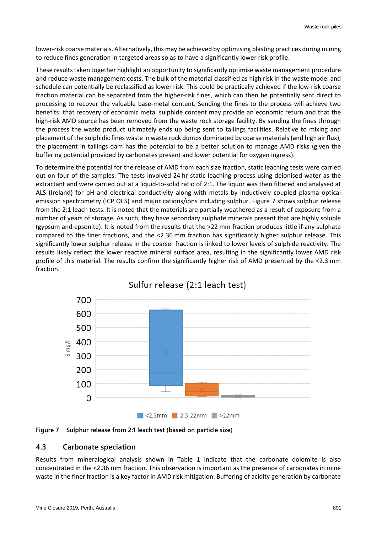lower-risk coarse materials. Alternatively, this may be achieved by optimising blasting practices during mining to reduce fines generation in targeted areas so as to have a significantly lower risk profile.

These results taken together highlight an opportunity to significantly optimise waste management procedure and reduce waste management costs. The bulk of the material classified as high risk in the waste model and schedule can potentially be reclassified as lower risk. This could be practically achieved if the low-risk coarse fraction material can be separated from the higher-risk fines, which can then be potentially sent direct to processing to recover the valuable base-metal content. Sending the fines to the process will achieve two benefits: that recovery of economic metal sulphide content may provide an economic return and that the high-risk AMD source has been removed from the waste rock storage facility. By sending the fines through the process the waste product ultimately ends up being sent to tailings facilities. Relative to mixing and placement of the sulphidic fines waste in waste rock dumps dominated by coarse materials (and high air flux), the placement in tailings dam has the potential to be a better solution to manage AMD risks (given the buffering potential provided by carbonates present and lower potential for oxygen ingress).

To determine the potential for the release of AMD from each size fraction, static leaching tests were carried out on four of the samples. The tests involved 24 hr static leaching process using deionised water as the extractant and were carried out at a liquid-to-solid ratio of 2:1. The liquor was then filtered and analysed at ALS (Ireland) for pH and electrical conductivity along with metals by inductively coupled plasma optical emission spectrometry (ICP OES) and major cations/ions including sulphur. Figure 7 shows sulphur release from the 2:1 leach tests. It is noted that the materials are partially weathered as a result of exposure from a number of years of storage. As such, they have secondary sulphate minerals present that are highly soluble (gypsum and epsonite). It is noted from the results that the >22 mm fraction produces little if any sulphate compared to the finer fractions, and the <2.36 mm fraction has significantly higher sulphur release. This significantly lower sulphur release in the coarser fraction is linked to lower levels of sulphide reactivity. The results likely reflect the lower reactive mineral surface area, resulting in the significantly lower AMD risk profile of this material. The results confirm the significantly higher risk of AMD presented by the <2.3 mm fraction.







### **4.3 Carbonate speciation**

Results from mineralogical analysis shown in Table 1 indicate that the carbonate dolomite is also concentrated in the <2.36 mm fraction. This observation is important as the presence of carbonates in mine waste in the finer fraction is a key factor in AMD risk mitigation. Buffering of acidity generation by carbonate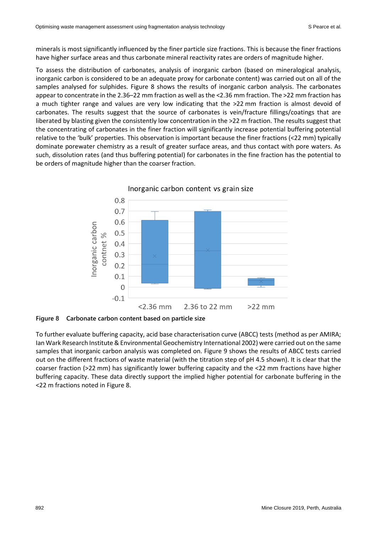minerals is most significantly influenced by the finer particle size fractions. This is because the finer fractions have higher surface areas and thus carbonate mineral reactivity rates are orders of magnitude higher.

To assess the distribution of carbonates, analysis of inorganic carbon (based on mineralogical analysis, inorganic carbon is considered to be an adequate proxy for carbonate content) was carried out on all of the samples analysed for sulphides. Figure 8 shows the results of inorganic carbon analysis. The carbonates appear to concentrate in the 2.36–22 mm fraction as well as the <2.36 mm fraction. The >22 mm fraction has a much tighter range and values are very low indicating that the >22 mm fraction is almost devoid of carbonates. The results suggest that the source of carbonates is vein/fracture fillings/coatings that are liberated by blasting given the consistently low concentration in the >22 m fraction. The results suggest that the concentrating of carbonates in the finer fraction will significantly increase potential buffering potential relative to the 'bulk' properties. This observation is important because the finer fractions (<22 mm) typically dominate porewater chemistry as a result of greater surface areas, and thus contact with pore waters. As such, dissolution rates (and thus buffering potential) for carbonates in the fine fraction has the potential to be orders of magnitude higher than the coarser fraction.



**Figure 8 Carbonate carbon content based on particle size**

To further evaluate buffering capacity, acid base characterisation curve (ABCC) tests (method as per AMIRA; Ian Wark Research Institute& Environmental Geochemistry International 2002) were carried out on the same samples that inorganic carbon analysis was completed on. Figure 9 shows the results of ABCC tests carried out on the different fractions of waste material (with the titration step of pH 4.5 shown). It is clear that the coarser fraction (>22 mm) has significantly lower buffering capacity and the <22 mm fractions have higher buffering capacity. These data directly support the implied higher potential for carbonate buffering in the <22 m fractions noted in Figure 8.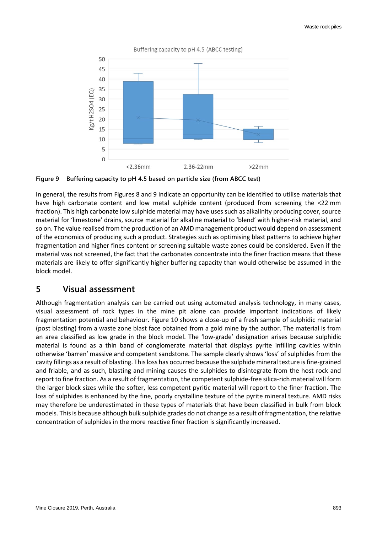

**Figure 9 Buffering capacity to pH 4.5 based on particle size (from ABCC test)**

In general, the results from Figures 8 and 9 indicate an opportunity can be identified to utilise materials that have high carbonate content and low metal sulphide content (produced from screening the <22 mm fraction). This high carbonate low sulphide material may have uses such as alkalinity producing cover, source material for 'limestone' drains, source material for alkaline material to 'blend' with higher-risk material, and so on. The value realised from the production of an AMD management product would depend on assessment of the economics of producing such a product. Strategies such as optimising blast patterns to achieve higher fragmentation and higher fines content or screening suitable waste zones could be considered. Even if the material was not screened, the fact that the carbonates concentrate into the finer fraction means that these materials are likely to offer significantly higher buffering capacity than would otherwise be assumed in the block model.

### **5 Visual assessment**

Although fragmentation analysis can be carried out using automated analysis technology, in many cases, visual assessment of rock types in the mine pit alone can provide important indications of likely fragmentation potential and behaviour. Figure 10 shows a close-up of a fresh sample of sulphidic material (post blasting) from a waste zone blast face obtained from a gold mine by the author. The material is from an area classified as low grade in the block model. The 'low-grade' designation arises because sulphidic material is found as a thin band of conglomerate material that displays pyrite infilling cavities within otherwise 'barren' massive and competent sandstone. The sample clearly shows 'loss' of sulphides from the cavity fillings as a result of blasting. This loss has occurred because the sulphide mineral texture is fine-grained and friable, and as such, blasting and mining causes the sulphides to disintegrate from the host rock and report to fine fraction. As a result of fragmentation, the competent sulphide-free silica-rich material will form the larger block sizes while the softer, less competent pyritic material will report to the finer fraction. The loss of sulphides is enhanced by the fine, poorly crystalline texture of the pyrite mineral texture. AMD risks may therefore be underestimated in these types of materials that have been classified in bulk from block models. This is because although bulk sulphide grades do not change as a result of fragmentation, the relative concentration of sulphides in the more reactive finer fraction is significantly increased.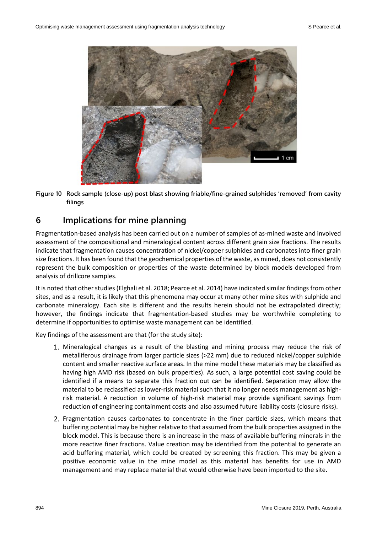

**Figure 10 Rock sample (close-up) post blast showing friable/fine-grained sulphides 'removed' from cavity filings**

# **6 Implications for mine planning**

Fragmentation-based analysis has been carried out on a number of samples of as-mined waste and involved assessment of the compositional and mineralogical content across different grain size fractions. The results indicate that fragmentation causes concentration of nickel/copper sulphides and carbonates into finer grain size fractions. It has been found that the geochemical properties of the waste, as mined, does not consistently represent the bulk composition or properties of the waste determined by block models developed from analysis of drillcore samples.

It is noted that other studies (Elghali et al. 2018; Pearce et al. 2014) have indicated similar findings from other sites, and as a result, it is likely that this phenomena may occur at many other mine sites with sulphide and carbonate mineralogy. Each site is different and the results herein should not be extrapolated directly; however, the findings indicate that fragmentation-based studies may be worthwhile completing to determine if opportunities to optimise waste management can be identified.

Key findings of the assessment are that (for the study site):

- Mineralogical changes as a result of the blasting and mining process may reduce the risk of metalliferous drainage from larger particle sizes (>22 mm) due to reduced nickel/copper sulphide content and smaller reactive surface areas. In the mine model these materials may be classified as having high AMD risk (based on bulk properties). As such, a large potential cost saving could be identified if a means to separate this fraction out can be identified. Separation may allow the material to be reclassified as lower-risk material such that it no longer needs management as highrisk material. A reduction in volume of high-risk material may provide significant savings from reduction of engineering containment costs and also assumed future liability costs (closure risks).
- 2. Fragmentation causes carbonates to concentrate in the finer particle sizes, which means that buffering potential may be higher relative to that assumed from the bulk properties assigned in the block model. This is because there is an increase in the mass of available buffering minerals in the more reactive finer fractions. Value creation may be identified from the potential to generate an acid buffering material, which could be created by screening this fraction. This may be given a positive economic value in the mine model as this material has benefits for use in AMD management and may replace material that would otherwise have been imported to the site.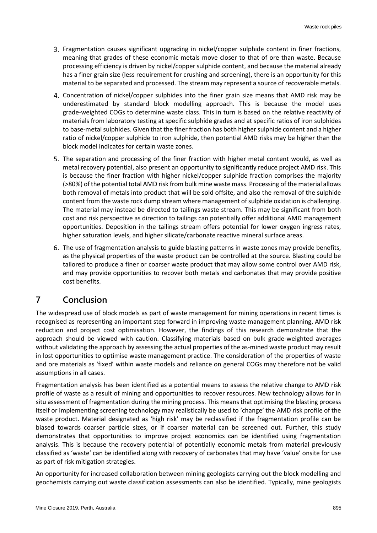- 3. Fragmentation causes significant upgrading in nickel/copper sulphide content in finer fractions, meaning that grades of these economic metals move closer to that of ore than waste. Because processing efficiency is driven by nickel/copper sulphide content, and because the material already has a finer grain size (less requirement for crushing and screening), there is an opportunity for this material to be separated and processed. The stream may represent a source of recoverable metals.
- Concentration of nickel/copper sulphides into the finer grain size means that AMD risk may be underestimated by standard block modelling approach. This is because the model uses grade-weighted COGs to determine waste class. This in turn is based on the relative reactivity of materials from laboratory testing at specific sulphide grades and at specific ratios of iron sulphides to base-metal sulphides. Given that the finer fraction has both higher sulphide content and a higher ratio of nickel/copper sulphide to iron sulphide, then potential AMD risks may be higher than the block model indicates for certain waste zones.
- 5. The separation and processing of the finer fraction with higher metal content would, as well as metal recovery potential, also present an opportunity to significantly reduce project AMD risk. This is because the finer fraction with higher nickel/copper sulphide fraction comprises the majority (>80%) of the potential total AMD risk from bulk mine waste mass. Processing of the material allows both removal of metals into product that will be sold offsite, and also the removal of the sulphide content from the waste rock dump stream where management of sulphide oxidation is challenging. The material may instead be directed to tailings waste stream. This may be significant from both cost and risk perspective as direction to tailings can potentially offer additional AMD management opportunities. Deposition in the tailings stream offers potential for lower oxygen ingress rates, higher saturation levels, and higher silicate/carbonate reactive mineral surface areas.
- The use of fragmentation analysis to guide blasting patterns in waste zones may provide benefits, as the physical properties of the waste product can be controlled at the source. Blasting could be tailored to produce a finer or coarser waste product that may allow some control over AMD risk, and may provide opportunities to recover both metals and carbonates that may provide positive cost benefits.

# **7 Conclusion**

The widespread use of block models as part of waste management for mining operations in recent times is recognised as representing an important step forward in improving waste management planning, AMD risk reduction and project cost optimisation. However, the findings of this research demonstrate that the approach should be viewed with caution. Classifying materials based on bulk grade-weighted averages without validating the approach by assessing the actual properties of the as-mined waste product may result in lost opportunities to optimise waste management practice. The consideration of the properties of waste and ore materials as 'fixed' within waste models and reliance on general COGs may therefore not be valid assumptions in all cases.

Fragmentation analysis has been identified as a potential means to assess the relative change to AMD risk profile of waste as a result of mining and opportunities to recover resources. New technology allows for in situ assessment of fragmentation during the mining process. This means that optimising the blasting process itself or implementing screening technology may realistically be used to 'change' the AMD risk profile of the waste product. Material designated as 'high risk' may be reclassified if the fragmentation profile can be biased towards coarser particle sizes, or if coarser material can be screened out. Further, this study demonstrates that opportunities to improve project economics can be identified using fragmentation analysis. This is because the recovery potential of potentially economic metals from material previously classified as 'waste' can be identified along with recovery of carbonates that may have 'value' onsite for use as part of risk mitigation strategies.

An opportunity for increased collaboration between mining geologists carrying out the block modelling and geochemists carrying out waste classification assessments can also be identified. Typically, mine geologists